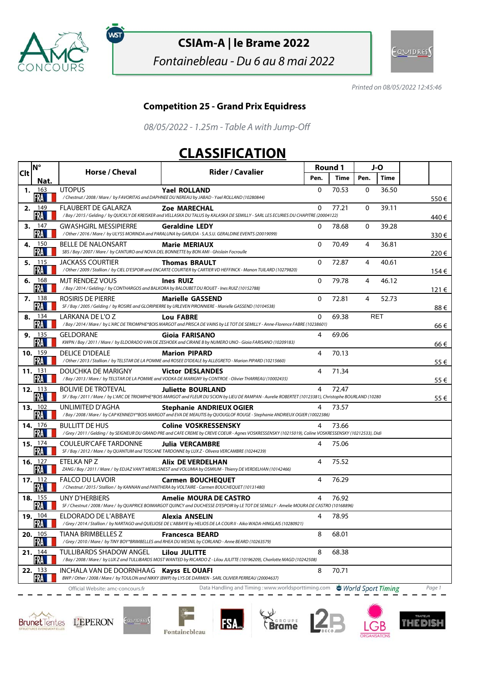

ัพรา

## **CSIAm-A | le Brame 2022**

Fontainebleau - Du 6 au 8 mai 2022



Printed on 08/05/2022 12:45:46

## **Competition 25 - Grand Prix Equidress**

08/05/2022 - 1.25m - Table A with Jump-Off

## **CLASSIFICATION**

| Clt | <b>N°</b>                | Horse / Cheval                                                                                                          | <b>Rider / Cavalier</b>                                                                                                                                                              | Round 1      |             | J-O          |            |        |
|-----|--------------------------|-------------------------------------------------------------------------------------------------------------------------|--------------------------------------------------------------------------------------------------------------------------------------------------------------------------------------|--------------|-------------|--------------|------------|--------|
|     | Nat.                     |                                                                                                                         |                                                                                                                                                                                      | Pen.         | <b>Time</b> | Pen.         | Time       |        |
|     | 1. $163$<br>FRA          | <b>UTOPUS</b>                                                                                                           | <b>Yael ROLLAND</b><br>/Chestnut / 2008 / Mare / by FAVORITAS and DAPHNEE DU NEREAU by JABAD - Yael ROLLAND (10280844)                                                               | 0            | 70.53       | 0            | 36.50      | 550€   |
|     | 2. $149$<br>FRA          | FLAUBERT DE GALARZA                                                                                                     | <b>Zoe MARECHAL</b><br>/Bay / 2015 / Gelding / by QUICKLY DE KREISKER and VELLASKA DU TALUS by KALASKA DE SEMILLY - SARL LES ECURIES DU CHAPITRE (20004122)                          | 0            | 77.21       | $\mathbf{0}$ | 39.11      | 440 €  |
| 3.  | 147<br>FRA               | <b>GWASHGIRL MESSIPIERRE</b>                                                                                            | <b>Geraldine LEDY</b><br>/Other / 2016 / Mare / by ULYSS MORINDA and PARALUNA by GARUDA - S.A.S.U. GERALDINE EVENTS (20019099)                                                       | 0            | 78.68       | 0            | 39.28      | 330€   |
|     | 4. 150<br>FRA            | <b>BELLE DE NALONSART</b><br>SBS / Bay / 2007 / Mare / by CANTURO and NOVA DEL BONNETTE by BON AMI - Ghislain Focroulle | <b>Marie MERIAUX</b>                                                                                                                                                                 | 0            | 70.49       | 4            | 36.81      | 220€   |
|     | 5. 115<br>FRA            | <b>JACKASS COURTIER</b>                                                                                                 | <b>Thomas BRAULT</b><br>/ Other / 2009 / Stallion / by CIEL D'ESPOIR and ENCARTE COURTIER by CARTIER VD HEFFINCK - Manon TUILARD (10279820)                                          | $\Omega$     | 72.87       | 4            | 40.61      | 154€   |
| 6.  | 168<br>FRA               | <b>MJT RENDEZ VOUS</b>                                                                                                  | <b>Ines RUIZ</b><br>/Bay / 2014 / Gelding / by CONTHARGOS and BALKORA by BALOUBET DU ROUET - Ines RUIZ (10152788)                                                                    | 0            | 79.78       | 4            | 46.12      | 121€   |
|     | 7.138<br>FRA             | ROSIRIS DE PIERRE                                                                                                       | <b>Marielle GASSEND</b><br>SF / Bay / 2005 / Gelding / by ROSIRE and GLORIPIERRE by URLEVEN PIRONNIERE - Marielle GASSEND (10104538)                                                 | 0            | 72.81       | 4            | 52.73      | 88€    |
|     | 8. 134<br>FRA            | LARKANA DE L'O Z                                                                                                        | <b>Lou FABRE</b><br>/Bay/2014/Mare/ by L'ARC DE TRIOMPHE*BOIS MARGOT and PRISCA DE VAINS by LETOT DE SEMILLY - Anne-Florence FABRE (10238601)                                        | $\mathbf{0}$ | 69.38       |              | <b>RET</b> | 66 €   |
| 9.  | - 135<br>FRA             | GELDORANE                                                                                                               | Gioja FARISANO<br>KWPN / Bay / 2011 / Mare / by ELDORADO VAN DE ZESHOEK and CIRANE B by NUMERO UNO - Gioia FARISANO (10209183)                                                       | 4            | 69.06       |              |            | 66 €   |
|     | 10. $159$<br>FRA         | <b>DELICE D'IDEALE</b>                                                                                                  | <b>Marion PIPARD</b><br>/Other / 2013 / Stallion / by TELSTAR DE LA POMME and ROSEE D'IDEALE by ALLEGRETO - Marion PIPARD (10215660)                                                 | 4            | 70.13       |              |            | 55 €   |
|     | 11.131<br>FRA            | DOUCHKA DE MARIGNY                                                                                                      | <b>Victor DESLANDES</b><br>/Bay / 2013 / Mare / by TELSTAR DE LA POMME and VODKA DE MARIGNY by CONTROE - Olivier THARREAU (10002435)                                                 | 4            | 71.34       |              |            | 55 €   |
|     | 12. $113$<br>FRA         | <b>BOLIVIE DE TROTEVAL</b>                                                                                              | <b>Juliette BOURLAND</b><br>SF / Bay / 2011 / Mare / by L'ARC DE TRIOMPHE*BOIS MARGOT and FLEUR DU SCION by LIEU DE RAMPAN - Aurelie ROBERTET (10123381), Christophe BOURLAND (10280 | 4            | 72.47       |              |            | 55 €   |
|     | 13. $102$<br>FRA         | UNLIMITED D'AGHA                                                                                                        | <b>Stephanie ANDRIEUX OGIER</b><br>/Bay / 2008 / Mare / by CAP KENNEDY*BOIS MARGOT and EVA DE MEAUTIS by QUOUGLOF ROUGE - Stephanie ANDRIEUX OGIER (10022386)                        | 4            | 73.57       |              |            |        |
|     | <b>14.</b> 176<br>FRA    | <b>BULLITT DE HUS</b>                                                                                                   | <b>Coline VOSKRESSENSKY</b><br>/Grey/2011/Gelding/ by SEIGNEUR DU GRAND PRE and CAFE CREME by CREVE COEUR - Agnes VOSKRESSENSKY (10215019), Coline VOSKRESSENSKY (10212533), Didi    | 4            | 73.66       |              |            |        |
|     | 15. 174<br>FRA           | <b>COULEUR'CAFE TARDONNE</b>                                                                                            | <b>Julia VERCAMBRE</b><br>SF / Bay / 2012 / Mare / by QUANTUM and TOSCANE TARDONNE by LUX Z - Olivera VERCAMBRE (10244239)                                                           | 4            | 75.06       |              |            |        |
|     | 16. $127$<br>FRA         | ETELKA NP Z                                                                                                             | Alix DE VERDELHAN<br>ZANG / Bay / 2011 / Mare / by EDJAZ VAN'T MERELSNEST and VOLUMIA by OSMIUM - Thierry DE VERDELHAN (10142466)                                                    | 4            | 75.52       |              |            |        |
|     | 17. $112$<br>FRA         | <b>FALCO DU LAVOIR</b>                                                                                                  | <b>Carmen BOUCHEQUET</b><br>/Chestnut / 2015 / Stallion / by KANNAN and PANTHERA by VOLTAIRE - Carmen BOUCHEQUET (10131480)                                                          | 4            | 76.29       |              |            |        |
|     | <b>18.</b> 155<br>FRA    | UNY D'HERBIERS                                                                                                          | Amelie MOURA DE CASTRO<br>SF / Chestnut / 2008 / Mare / by QUAPRICE BOIMARGOT QUINCY and DUCHESSE D'ESPOIR by LETOT DE SEMILLY - Amelie MOURA DE CASTRO (10168896)                   | 4            | 76.92       |              |            |        |
|     | 19. 104<br>FRA <b>II</b> | ELDORADO DE L'ABBAYE                                                                                                    | <b>Alexia ANSELIN</b><br>/Grey / 2014 / Stallion / by NARTAGO and QUELIOSE DE L'ABBAYE by HELIOS DE LA COUR II - Aiko WADA-HINGLAIS (10280921)                                       | 4            | 78.95       |              |            |        |
|     | 20.105<br>FRA            | TIANA BRIMBELLES Z                                                                                                      | <b>Francesca BEARD</b><br>/Grey / 2010 / Mare / by TINY BOY*BRIMBELLES and RHEA DU MESNIL by CORLAND - Anne BEARD (10263579)                                                         | 8            | 68.01       |              |            |        |
|     | 21.144<br>FRA            | TULLIBARDS SHADOW ANGEL                                                                                                 | Lilou JULITTE<br>/Bay / 2008 / Mare / by LUX Z and TULLIBARDS MOST WANTED by RICARDO Z - Lilou JULITTE (10196209), Charlotte MAGD (10242508)                                         | 8            | 68.38       |              |            |        |
|     | 22.133<br>FRA            | INCHALA VAN DE DOORNHAAG                                                                                                | <b>Kayss EL OUAFI</b><br>BWP / Other / 2008 / Mare / by TOULON and NIKKY (BWP) by LYS DE DARMEN - SARL OLIVIER PERREAU (20004637)                                                    | 8            | 70.71       |              |            |        |
|     |                          | Official Website: amc-concours.fr                                                                                       | Data Handling and Timing: www.worldsporttiming.com World Sport Timing                                                                                                                |              |             |              |            | Page 1 |